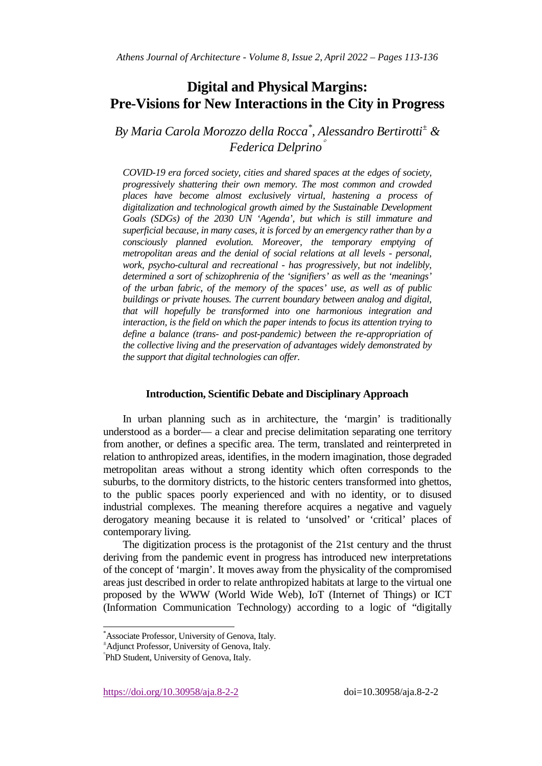# **Digital and Physical Margins: Pre-Visions for New Interactions in the City in Progress**

*By Maria Carola Morozzo della Rocca[\\*](#page-0-0) , Alessandro Bertirotti[±](#page-0-1) & Federica Delprino*°

*COVID-19 era forced society, cities and shared spaces at the edges of society, progressively shattering their own memory. The most common and crowded places have become almost exclusively virtual, hastening a process of digitalization and technological growth aimed by the Sustainable Development Goals (SDGs) of the 2030 UN 'Agenda', but which is still immature and superficial because, in many cases, it is forced by an emergency rather than by a consciously planned evolution. Moreover, the temporary emptying of metropolitan areas and the denial of social relations at all levels - personal, work, psycho-cultural and recreational - has progressively, but not indelibly, determined a sort of schizophrenia of the 'signifiers' as well as the 'meanings' of the urban fabric, of the memory of the spaces' use, as well as of public buildings or private houses. The current boundary between analog and digital, that will hopefully be transformed into one harmonious integration and interaction, is the field on which the paper intends to focus its attention trying to define a balance (trans- and post-pandemic) between the re-appropriation of the collective living and the preservation of advantages widely demonstrated by the support that digital technologies can offer.* 

# **Introduction, Scientific Debate and Disciplinary Approach**

In urban planning such as in architecture, the 'margin' is traditionally understood as a border— a clear and precise delimitation separating one territory from another, or defines a specific area. The term, translated and reinterpreted in relation to anthropized areas, identifies, in the modern imagination, those degraded metropolitan areas without a strong identity which often corresponds to the suburbs, to the dormitory districts, to the historic centers transformed into ghettos, to the public spaces poorly experienced and with no identity, or to disused industrial complexes. The meaning therefore acquires a negative and vaguely derogatory meaning because it is related to 'unsolved' or 'critical' places of contemporary living.

The digitization process is the protagonist of the 21st century and the thrust deriving from the pandemic event in progress has introduced new interpretations of the concept of 'margin'. It moves away from the physicality of the compromised areas just described in order to relate anthropized habitats at large to the virtual one proposed by the WWW (World Wide Web), IoT (Internet of Things) or ICT (Information Communication Technology) according to a logic of "digitally

<span id="page-0-0"></span> <sup>\*</sup> Associate Professor, University of Genova, Italy.<br> **EAdiupst Professor, University of Genova, Italy.** 

Adjunct Professor, University of Genova, Italy.

<span id="page-0-1"></span><sup>°</sup> PhD Student, University of Genova, Italy.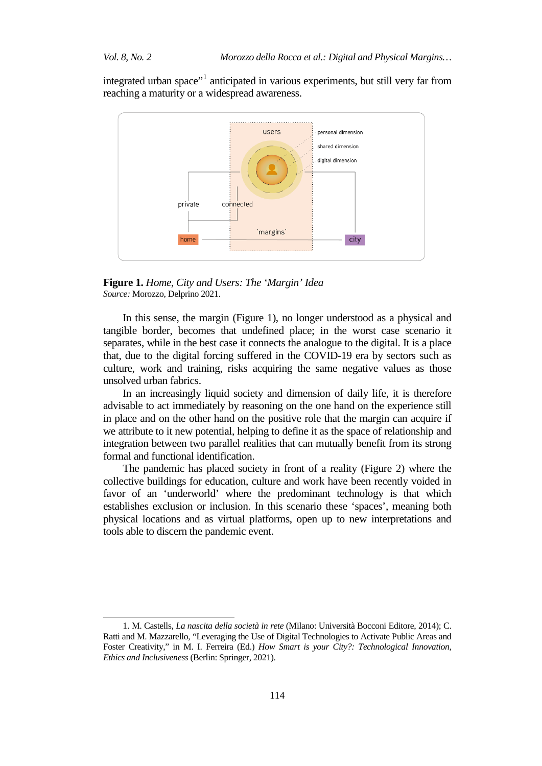integrated urban space"<sup>[1](#page-1-0)</sup> anticipated in various experiments, but still very far from reaching a maturity or a widespread awareness.



**Figure 1.** *Home, City and Users: The 'Margin' Idea Source:* Morozzo, Delprino 2021.

In this sense, the margin (Figure 1), no longer understood as a physical and tangible border, becomes that undefined place; in the worst case scenario it separates, while in the best case it connects the analogue to the digital. It is a place that, due to the digital forcing suffered in the COVID-19 era by sectors such as culture, work and training, risks acquiring the same negative values as those unsolved urban fabrics.

In an increasingly liquid society and dimension of daily life, it is therefore advisable to act immediately by reasoning on the one hand on the experience still in place and on the other hand on the positive role that the margin can acquire if we attribute to it new potential, helping to define it as the space of relationship and integration between two parallel realities that can mutually benefit from its strong formal and functional identification.

The pandemic has placed society in front of a reality (Figure 2) where the collective buildings for education, culture and work have been recently voided in favor of an 'underworld' where the predominant technology is that which establishes exclusion or inclusion. In this scenario these 'spaces', meaning both physical locations and as virtual platforms, open up to new interpretations and tools able to discern the pandemic event.

<span id="page-1-0"></span><sup>1.</sup> M. Castells, *La nascita della società in rete* (Milano: Università Bocconi Editore, 2014); C. Ratti and M. Mazzarello, "Leveraging the Use of Digital Technologies to Activate Public Areas and Foster Creativity," in M. I. Ferreira (Ed.) *How Smart is your City?: Technological Innovation, Ethics and Inclusiveness* (Berlin: Springer, 2021).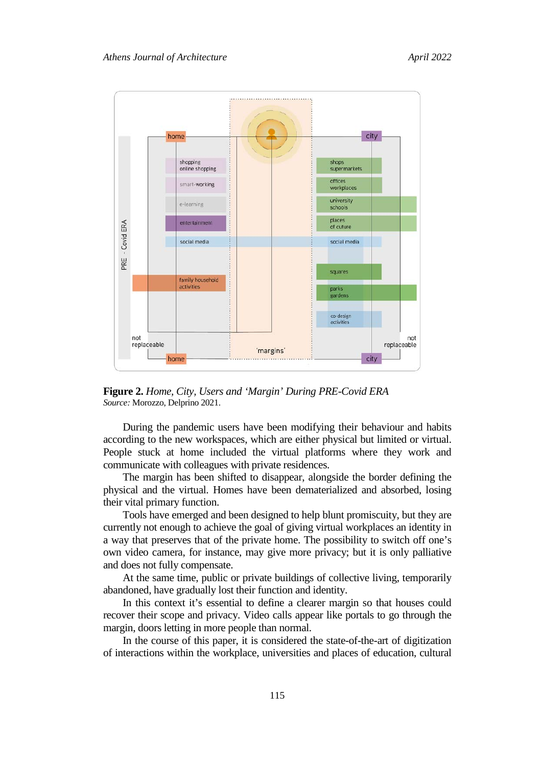

**Figure 2.** *Home, City, Users and 'Margin' During PRE-Covid ERA Source:* Morozzo, Delprino 2021.

During the pandemic users have been modifying their behaviour and habits according to the new workspaces, which are either physical but limited or virtual. People stuck at home included the virtual platforms where they work and communicate with colleagues with private residences.

The margin has been shifted to disappear, alongside the border defining the physical and the virtual. Homes have been dematerialized and absorbed, losing their vital primary function.

Tools have emerged and been designed to help blunt promiscuity, but they are currently not enough to achieve the goal of giving virtual workplaces an identity in a way that preserves that of the private home. The possibility to switch off one's own video camera, for instance, may give more privacy; but it is only palliative and does not fully compensate.

At the same time, public or private buildings of collective living, temporarily abandoned, have gradually lost their function and identity.

In this context it's essential to define a clearer margin so that houses could recover their scope and privacy. Video calls appear like portals to go through the margin, doors letting in more people than normal.

In the course of this paper, it is considered the state-of-the-art of digitization of interactions within the workplace, universities and places of education, cultural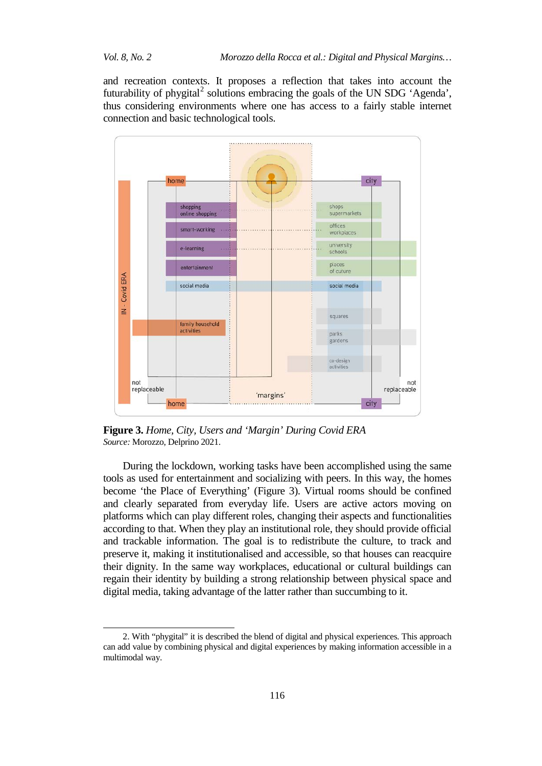and recreation contexts. It proposes a reflection that takes into account the futurability of phygital<sup>[2](#page-3-0)</sup> solutions embracing the goals of the UN SDG 'Agenda', thus considering environments where one has access to a fairly stable internet connection and basic technological tools.



**Figure 3.** *Home, City, Users and 'Margin' During Covid ERA Source:* Morozzo, Delprino 2021.

During the lockdown, working tasks have been accomplished using the same tools as used for entertainment and socializing with peers. In this way, the homes become 'the Place of Everything' (Figure 3). Virtual rooms should be confined and clearly separated from everyday life. Users are active actors moving on platforms which can play different roles, changing their aspects and functionalities according to that. When they play an institutional role, they should provide official and trackable information. The goal is to redistribute the culture, to track and preserve it, making it institutionalised and accessible, so that houses can reacquire their dignity. In the same way workplaces, educational or cultural buildings can regain their identity by building a strong relationship between physical space and digital media, taking advantage of the latter rather than succumbing to it.

<span id="page-3-0"></span><sup>2.</sup> With "phygital" it is described the blend of digital and physical experiences. This approach can add value by combining physical and digital experiences by making information accessible in a multimodal way.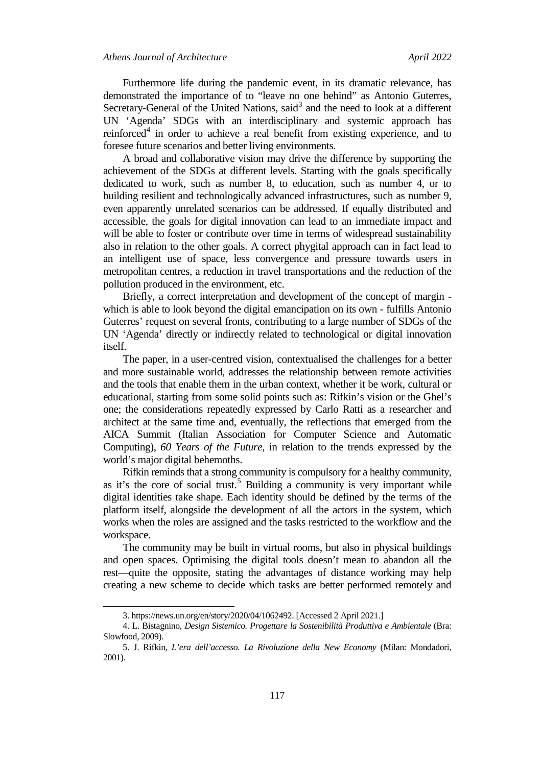Furthermore life during the pandemic event, in its dramatic relevance, has demonstrated the importance of to "leave no one behind" as Antonio Guterres, Secretary-General of the United Nations, said<sup>[3](#page-4-0)</sup> and the need to look at a different UN 'Agenda' SDGs with an interdisciplinary and systemic approach has reinforced<sup>[4](#page-4-1)</sup> in order to achieve a real benefit from existing experience, and to foresee future scenarios and better living environments.

A broad and collaborative vision may drive the difference by supporting the achievement of the SDGs at different levels. Starting with the goals specifically dedicated to work, such as number 8, to education, such as number 4, or to building resilient and technologically advanced infrastructures, such as number 9, even apparently unrelated scenarios can be addressed. If equally distributed and accessible, the goals for digital innovation can lead to an immediate impact and will be able to foster or contribute over time in terms of widespread sustainability also in relation to the other goals. A correct phygital approach can in fact lead to an intelligent use of space, less convergence and pressure towards users in metropolitan centres, a reduction in travel transportations and the reduction of the pollution produced in the environment, etc.

Briefly, a correct interpretation and development of the concept of margin which is able to look beyond the digital emancipation on its own - fulfills Antonio Guterres' request on several fronts, contributing to a large number of SDGs of the UN 'Agenda' directly or indirectly related to technological or digital innovation itself.

The paper, in a user-centred vision, contextualised the challenges for a better and more sustainable world, addresses the relationship between remote activities and the tools that enable them in the urban context, whether it be work, cultural or educational, starting from some solid points such as: Rifkin's vision or the Ghel's one; the considerations repeatedly expressed by Carlo Ratti as a researcher and architect at the same time and, eventually, the reflections that emerged from the AICA Summit (Italian Association for Computer Science and Automatic Computing), *60 Years of the Future,* in relation to the trends expressed by the world's major digital behemoths.

Rifkin reminds that a strong community is compulsory for a healthy community, as it's the core of social trust.<sup>[5](#page-4-2)</sup> Building a community is very important while digital identities take shape. Each identity should be defined by the terms of the platform itself, alongside the development of all the actors in the system, which works when the roles are assigned and the tasks restricted to the workflow and the workspace.

The community may be built in virtual rooms, but also in physical buildings and open spaces. Optimising the digital tools doesn't mean to abandon all the rest—quite the opposite, stating the advantages of distance working may help creating a new scheme to decide which tasks are better performed remotely and

j

<sup>3</sup>[. https://news.un.org/en/story/2020/04/1062492.](https://news.un.org/en/story/2020/04/1062492) [Accessed 2 April 2021.]

<span id="page-4-1"></span><span id="page-4-0"></span><sup>4.</sup> L. Bistagnino, *Design Sistemico. Progettare la Sostenibilità Produttiva e Ambientale* (Bra: Slowfood, 2009).

<span id="page-4-2"></span><sup>5.</sup> J. Rifkin, *L'era dell'accesso. La Rivoluzione della New Economy* (Milan: Mondadori, 2001).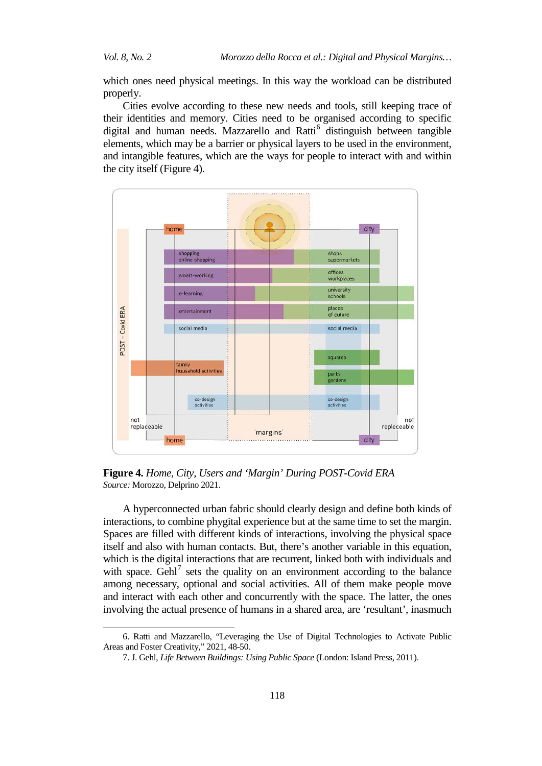which ones need physical meetings. In this way the workload can be distributed properly.

Cities evolve according to these new needs and tools, still keeping trace of their identities and memory. Cities need to be organised according to specific digital and human needs. Mazzarello and Ratti $<sup>6</sup>$  $<sup>6</sup>$  $<sup>6</sup>$  distinguish between tangible</sup> elements, which may be a barrier or physical layers to be used in the environment, and intangible features, which are the ways for people to interact with and within the city itself (Figure 4).



**Figure 4.** *Home, City, Users and 'Margin' During POST-Covid ERA Source:* Morozzo, Delprino 2021.

A hyperconnected urban fabric should clearly design and define both kinds of interactions, to combine phygital experience but at the same time to set the margin. Spaces are filled with different kinds of interactions, involving the physical space itself and also with human contacts. But, there's another variable in this equation, which is the digital interactions that are recurrent, linked both with individuals and with space. Gehl<sup>[7](#page-5-1)</sup> sets the quality on an environment according to the balance among necessary, optional and social activities. All of them make people move and interact with each other and concurrently with the space. The latter, the ones involving the actual presence of humans in a shared area, are 'resultant', inasmuch

<span id="page-5-1"></span><span id="page-5-0"></span><sup>6.</sup> Ratti and Mazzarello, "Leveraging the Use of Digital Technologies to Activate Public Areas and Foster Creativity," 2021, 48-50.

<sup>7.</sup> J. Gehl, *Life Between Buildings: Using Public Space* (London: Island Press, 2011).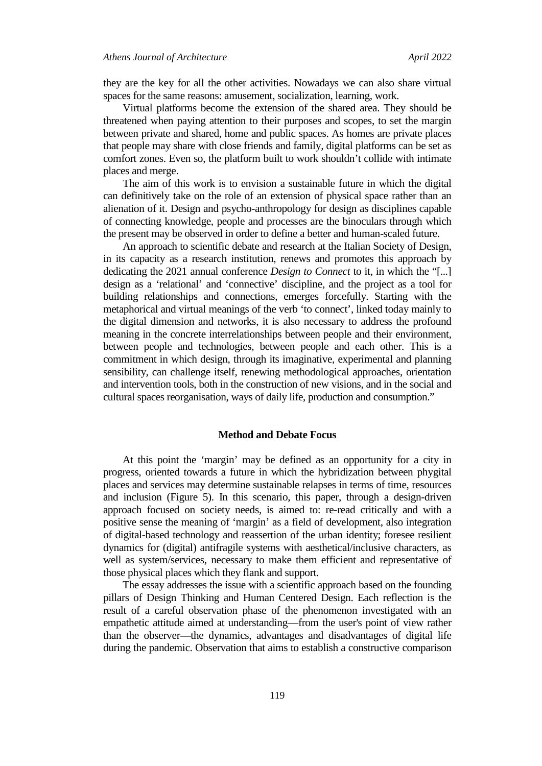they are the key for all the other activities. Nowadays we can also share virtual spaces for the same reasons: amusement, socialization, learning, work.

Virtual platforms become the extension of the shared area. They should be threatened when paying attention to their purposes and scopes, to set the margin between private and shared, home and public spaces. As homes are private places that people may share with close friends and family, digital platforms can be set as comfort zones. Even so, the platform built to work shouldn't collide with intimate places and merge.

The aim of this work is to envision a sustainable future in which the digital can definitively take on the role of an extension of physical space rather than an alienation of it. Design and psycho-anthropology for design as disciplines capable of connecting knowledge, people and processes are the binoculars through which the present may be observed in order to define a better and human-scaled future.

An approach to scientific debate and research at the Italian Society of Design, in its capacity as a research institution, renews and promotes this approach by dedicating the 2021 annual conference *Design to Connect* to it, in which the "[...] design as a 'relational' and 'connective' discipline, and the project as a tool for building relationships and connections, emerges forcefully. Starting with the metaphorical and virtual meanings of the verb 'to connect', linked today mainly to the digital dimension and networks, it is also necessary to address the profound meaning in the concrete interrelationships between people and their environment, between people and technologies, between people and each other. This is a commitment in which design, through its imaginative, experimental and planning sensibility, can challenge itself, renewing methodological approaches, orientation and intervention tools, both in the construction of new visions, and in the social and cultural spaces reorganisation, ways of daily life, production and consumption."

## **Method and Debate Focus**

At this point the 'margin' may be defined as an opportunity for a city in progress, oriented towards a future in which the hybridization between phygital places and services may determine sustainable relapses in terms of time, resources and inclusion (Figure 5). In this scenario, this paper, through a design-driven approach focused on society needs, is aimed to: re-read critically and with a positive sense the meaning of 'margin' as a field of development, also integration of digital-based technology and reassertion of the urban identity; foresee resilient dynamics for (digital) antifragile systems with aesthetical/inclusive characters, as well as system/services, necessary to make them efficient and representative of those physical places which they flank and support.

The essay addresses the issue with a scientific approach based on the founding pillars of Design Thinking and Human Centered Design. Each reflection is the result of a careful observation phase of the phenomenon investigated with an empathetic attitude aimed at understanding—from the user's point of view rather than the observer—the dynamics, advantages and disadvantages of digital life during the pandemic. Observation that aims to establish a constructive comparison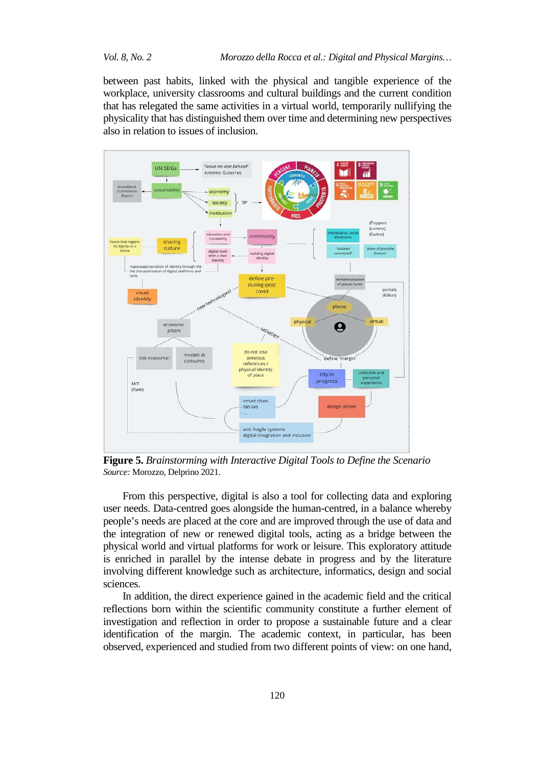between past habits, linked with the physical and tangible experience of the workplace, university classrooms and cultural buildings and the current condition that has relegated the same activities in a virtual world, temporarily nullifying the physicality that has distinguished them over time and determining new perspectives also in relation to issues of inclusion.



**Figure 5.** *Brainstorming with Interactive Digital Tools to Define the Scenario Source:* Morozzo, Delprino 2021.

From this perspective, digital is also a tool for collecting data and exploring user needs. Data-centred goes alongside the human-centred, in a balance whereby people's needs are placed at the core and are improved through the use of data and the integration of new or renewed digital tools, acting as a bridge between the physical world and virtual platforms for work or leisure. This exploratory attitude is enriched in parallel by the intense debate in progress and by the literature involving different knowledge such as architecture, informatics, design and social sciences.

In addition, the direct experience gained in the academic field and the critical reflections born within the scientific community constitute a further element of investigation and reflection in order to propose a sustainable future and a clear identification of the margin. The academic context, in particular, has been observed, experienced and studied from two different points of view: on one hand,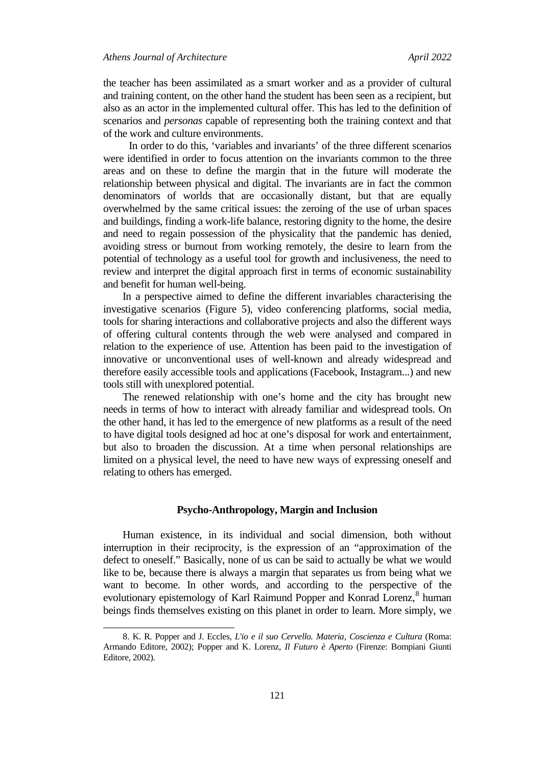the teacher has been assimilated as a smart worker and as a provider of cultural and training content, on the other hand the student has been seen as a recipient, but also as an actor in the implemented cultural offer. This has led to the definition of scenarios and *personas* capable of representing both the training context and that of the work and culture environments.

In order to do this, 'variables and invariants' of the three different scenarios were identified in order to focus attention on the invariants common to the three areas and on these to define the margin that in the future will moderate the relationship between physical and digital. The invariants are in fact the common denominators of worlds that are occasionally distant, but that are equally overwhelmed by the same critical issues: the zeroing of the use of urban spaces and buildings, finding a work-life balance, restoring dignity to the home, the desire and need to regain possession of the physicality that the pandemic has denied, avoiding stress or burnout from working remotely, the desire to learn from the potential of technology as a useful tool for growth and inclusiveness, the need to review and interpret the digital approach first in terms of economic sustainability and benefit for human well-being.

In a perspective aimed to define the different invariables characterising the investigative scenarios (Figure 5), video conferencing platforms, social media, tools for sharing interactions and collaborative projects and also the different ways of offering cultural contents through the web were analysed and compared in relation to the experience of use. Attention has been paid to the investigation of innovative or unconventional uses of well-known and already widespread and therefore easily accessible tools and applications (Facebook, Instagram...) and new tools still with unexplored potential.

The renewed relationship with one's home and the city has brought new needs in terms of how to interact with already familiar and widespread tools. On the other hand, it has led to the emergence of new platforms as a result of the need to have digital tools designed ad hoc at one's disposal for work and entertainment, but also to broaden the discussion. At a time when personal relationships are limited on a physical level, the need to have new ways of expressing oneself and relating to others has emerged.

#### **Psycho-Anthropology, Margin and Inclusion**

Human existence, in its individual and social dimension, both without interruption in their reciprocity, is the expression of an "approximation of the defect to oneself." Basically, none of us can be said to actually be what we would like to be, because there is always a margin that separates us from being what we want to become. In other words, and according to the perspective of the evolutionary epistemology of Karl Raimund Popper and Konrad Lorenz,<sup>[8](#page-8-0)</sup> human beings finds themselves existing on this planet in order to learn. More simply, we

<span id="page-8-0"></span><sup>8.</sup> K. R. Popper and J. Eccles, *L'io e il suo Cervello. Materia, Coscienza e Cultura* (Roma: Armando Editore, 2002); Popper and K. Lorenz, *Il Futuro è Aperto* (Firenze: Bompiani Giunti Editore, 2002).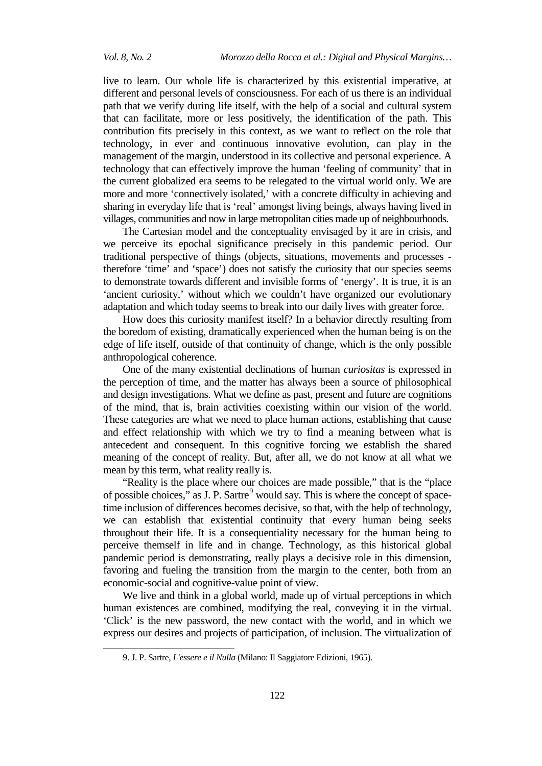<span id="page-9-0"></span> $\overline{a}$ 

live to learn. Our whole life is characterized by this existential imperative, at different and personal levels of consciousness. For each of us there is an individual path that we verify during life itself, with the help of a social and cultural system that can facilitate, more or less positively, the identification of the path. This contribution fits precisely in this context, as we want to reflect on the role that technology, in ever and continuous innovative evolution, can play in the management of the margin, understood in its collective and personal experience. A technology that can effectively improve the human 'feeling of community' that in the current globalized era seems to be relegated to the virtual world only. We are more and more 'connectively isolated,' with a concrete difficulty in achieving and sharing in everyday life that is 'real' amongst living beings, always having lived in villages, communities and now in large metropolitan cities made up of neighbourhoods.

The Cartesian model and the conceptuality envisaged by it are in crisis, and we perceive its epochal significance precisely in this pandemic period. Our traditional perspective of things (objects, situations, movements and processes therefore 'time' and 'space') does not satisfy the curiosity that our species seems to demonstrate towards different and invisible forms of 'energy'. It is true, it is an 'ancient curiosity,' without which we couldn't have organized our evolutionary adaptation and which today seems to break into our daily lives with greater force.

How does this curiosity manifest itself? In a behavior directly resulting from the boredom of existing, dramatically experienced when the human being is on the edge of life itself, outside of that continuity of change, which is the only possible anthropological coherence.

One of the many existential declinations of human *curiositas* is expressed in the perception of time, and the matter has always been a source of philosophical and design investigations. What we define as past, present and future are cognitions of the mind, that is, brain activities coexisting within our vision of the world. These categories are what we need to place human actions, establishing that cause and effect relationship with which we try to find a meaning between what is antecedent and consequent. In this cognitive forcing we establish the shared meaning of the concept of reality. But, after all, we do not know at all what we mean by this term, what reality really is.

"Reality is the place where our choices are made possible," that is the "place of possible choices," as J. P. Sartre<sup>[9](#page-9-0)</sup> would say. This is where the concept of spacetime inclusion of differences becomes decisive, so that, with the help of technology, we can establish that existential continuity that every human being seeks throughout their life. It is a consequentiality necessary for the human being to perceive themself in life and in change. Technology, as this historical global pandemic period is demonstrating, really plays a decisive role in this dimension, favoring and fueling the transition from the margin to the center, both from an economic-social and cognitive-value point of view.

We live and think in a global world, made up of virtual perceptions in which human existences are combined, modifying the real, conveying it in the virtual. 'Click' is the new password, the new contact with the world, and in which we express our desires and projects of participation, of inclusion. The virtualization of

<sup>9.</sup> J. P. Sartre, *L'essere e il Nulla* (Milano: Il Saggiatore Edizioni, 1965).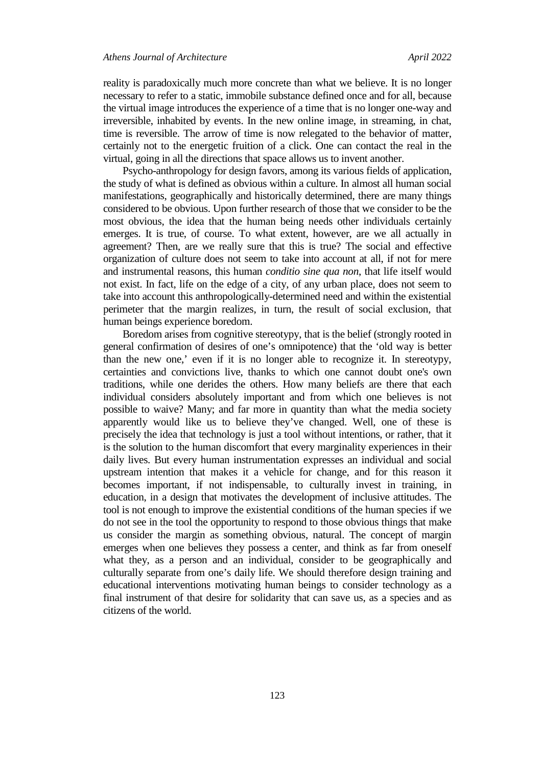reality is paradoxically much more concrete than what we believe. It is no longer necessary to refer to a static, immobile substance defined once and for all, because the virtual image introduces the experience of a time that is no longer one-way and irreversible, inhabited by events. In the new online image, in streaming, in chat, time is reversible. The arrow of time is now relegated to the behavior of matter, certainly not to the energetic fruition of a click. One can contact the real in the virtual, going in all the directions that space allows us to invent another.

Psycho-anthropology for design favors, among its various fields of application, the study of what is defined as obvious within a culture. In almost all human social manifestations, geographically and historically determined, there are many things considered to be obvious. Upon further research of those that we consider to be the most obvious, the idea that the human being needs other individuals certainly emerges. It is true, of course. To what extent, however, are we all actually in agreement? Then, are we really sure that this is true? The social and effective organization of culture does not seem to take into account at all, if not for mere and instrumental reasons, this human *conditio sine qua non*, that life itself would not exist. In fact, life on the edge of a city, of any urban place, does not seem to take into account this anthropologically-determined need and within the existential perimeter that the margin realizes, in turn, the result of social exclusion, that human beings experience boredom.

Boredom arises from cognitive stereotypy, that is the belief (strongly rooted in general confirmation of desires of one's omnipotence) that the 'old way is better than the new one,' even if it is no longer able to recognize it. In stereotypy, certainties and convictions live, thanks to which one cannot doubt one's own traditions, while one derides the others. How many beliefs are there that each individual considers absolutely important and from which one believes is not possible to waive? Many; and far more in quantity than what the media society apparently would like us to believe they've changed. Well, one of these is precisely the idea that technology is just a tool without intentions, or rather, that it is the solution to the human discomfort that every marginality experiences in their daily lives. But every human instrumentation expresses an individual and social upstream intention that makes it a vehicle for change, and for this reason it becomes important, if not indispensable, to culturally invest in training, in education, in a design that motivates the development of inclusive attitudes. The tool is not enough to improve the existential conditions of the human species if we do not see in the tool the opportunity to respond to those obvious things that make us consider the margin as something obvious, natural. The concept of margin emerges when one believes they possess a center, and think as far from oneself what they, as a person and an individual, consider to be geographically and culturally separate from one's daily life. We should therefore design training and educational interventions motivating human beings to consider technology as a final instrument of that desire for solidarity that can save us, as a species and as citizens of the world.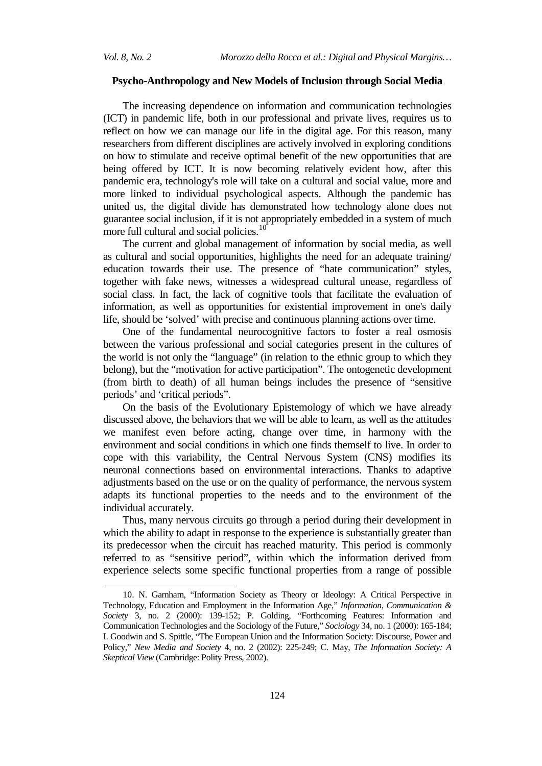#### **Psycho-Anthropology and New Models of Inclusion through Social Media**

The increasing dependence on information and communication technologies (ICT) in pandemic life, both in our professional and private lives, requires us to reflect on how we can manage our life in the digital age. For this reason, many researchers from different disciplines are actively involved in exploring conditions on how to stimulate and receive optimal benefit of the new opportunities that are being offered by ICT. It is now becoming relatively evident how, after this pandemic era, technology's role will take on a cultural and social value, more and more linked to individual psychological aspects. Although the pandemic has united us, the digital divide has demonstrated how technology alone does not guarantee social inclusion, if it is not appropriately embedded in a system of much more full cultural and social policies.<sup>[10](#page-11-0)</sup>

The current and global management of information by social media, as well as cultural and social opportunities, highlights the need for an adequate training/ education towards their use. The presence of "hate communication" styles, together with fake news, witnesses a widespread cultural unease, regardless of social class. In fact, the lack of cognitive tools that facilitate the evaluation of information, as well as opportunities for existential improvement in one's daily life, should be 'solved' with precise and continuous planning actions over time.

One of the fundamental neurocognitive factors to foster a real osmosis between the various professional and social categories present in the cultures of the world is not only the "language" (in relation to the ethnic group to which they belong), but the "motivation for active participation". The ontogenetic development (from birth to death) of all human beings includes the presence of "sensitive periods' and 'critical periods".

On the basis of the Evolutionary Epistemology of which we have already discussed above, the behaviors that we will be able to learn, as well as the attitudes we manifest even before acting, change over time, in harmony with the environment and social conditions in which one finds themself to live. In order to cope with this variability, the Central Nervous System (CNS) modifies its neuronal connections based on environmental interactions. Thanks to adaptive adjustments based on the use or on the quality of performance, the nervous system adapts its functional properties to the needs and to the environment of the individual accurately.

Thus, many nervous circuits go through a period during their development in which the ability to adapt in response to the experience is substantially greater than its predecessor when the circuit has reached maturity. This period is commonly referred to as "sensitive period", within which the information derived from experience selects some specific functional properties from a range of possible

<span id="page-11-0"></span><sup>10.</sup> N. Garnham, "Information Society as Theory or Ideology: A Critical Perspective in Technology, Education and Employment in the Information Age," *Information, Communication & Society* 3, no. 2 (2000): 139-152; P. Golding, "Forthcoming Features: Information and Communication Technologies and the Sociology of the Future," *Sociology* 34, no. 1 (2000): 165-184; I. Goodwin and S. Spittle, "The European Union and the Information Society: Discourse, Power and Policy," *New Media and Society* 4, no. 2 (2002): 225-249; C. May, *The Information Society: A Skeptical View* (Cambridge: Polity Press, 2002).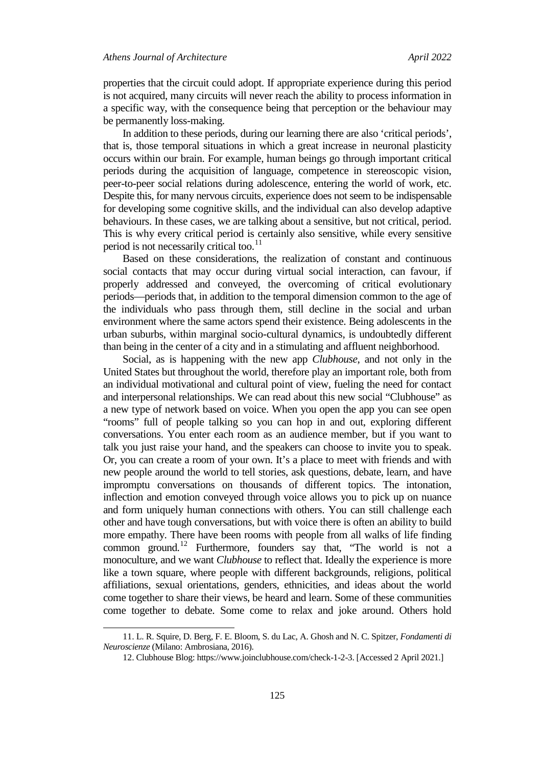properties that the circuit could adopt. If appropriate experience during this period is not acquired, many circuits will never reach the ability to process information in a specific way, with the consequence being that perception or the behaviour may be permanently loss-making.

In addition to these periods, during our learning there are also 'critical periods', that is, those temporal situations in which a great increase in neuronal plasticity occurs within our brain. For example, human beings go through important critical periods during the acquisition of language, competence in stereoscopic vision, peer-to-peer social relations during adolescence, entering the world of work, etc. Despite this, for many nervous circuits, experience does not seem to be indispensable for developing some cognitive skills, and the individual can also develop adaptive behaviours. In these cases, we are talking about a sensitive, but not critical, period. This is why every critical period is certainly also sensitive, while every sensitive period is not necessarily critical too.<sup>[11](#page-12-0)</sup>

Based on these considerations, the realization of constant and continuous social contacts that may occur during virtual social interaction, can favour, if properly addressed and conveyed, the overcoming of critical evolutionary periods—periods that, in addition to the temporal dimension common to the age of the individuals who pass through them, still decline in the social and urban environment where the same actors spend their existence. Being adolescents in the urban suburbs, within marginal socio-cultural dynamics, is undoubtedly different than being in the center of a city and in a stimulating and affluent neighborhood.

Social, as is happening with the new app *Clubhouse*, and not only in the United States but throughout the world, therefore play an important role, both from an individual motivational and cultural point of view, fueling the need for contact and interpersonal relationships. We can read about this new social "Clubhouse" as a new type of network based on voice. When you open the app you can see open "rooms" full of people talking so you can hop in and out, exploring different conversations. You enter each room as an audience member, but if you want to talk you just raise your hand, and the speakers can choose to invite you to speak. Or, you can create a room of your own. It's a place to meet with friends and with new people around the world to tell stories, ask questions, debate, learn, and have impromptu conversations on thousands of different topics. The intonation, inflection and emotion conveyed through voice allows you to pick up on nuance and form uniquely human connections with others. You can still challenge each other and have tough conversations, but with voice there is often an ability to build more empathy. There have been rooms with people from all walks of life finding common ground.<sup>[12](#page-12-1)</sup> Furthermore, founders say that, "The world is not a monoculture, and we want *Clubhouse* to reflect that. Ideally the experience is more like a town square, where people with different backgrounds, religions, political affiliations, sexual orientations, genders, ethnicities, and ideas about the world come together to share their views, be heard and learn. Some of these communities come together to debate. Some come to relax and joke around. Others hold

<span id="page-12-1"></span><span id="page-12-0"></span><sup>11.</sup> L. R. Squire, D. Berg, F. E. Bloom, S. du Lac, A. Ghosh and N. C. Spitzer, *Fondamenti di Neuroscienze* (Milano: Ambrosiana, 2016).

<sup>12.</sup> Clubhouse Blog[: https://www.joinclubhouse.com/check-1-2-3.](https://www.joinclubhouse.com/check-1-2-3) [Accessed 2 April 2021.]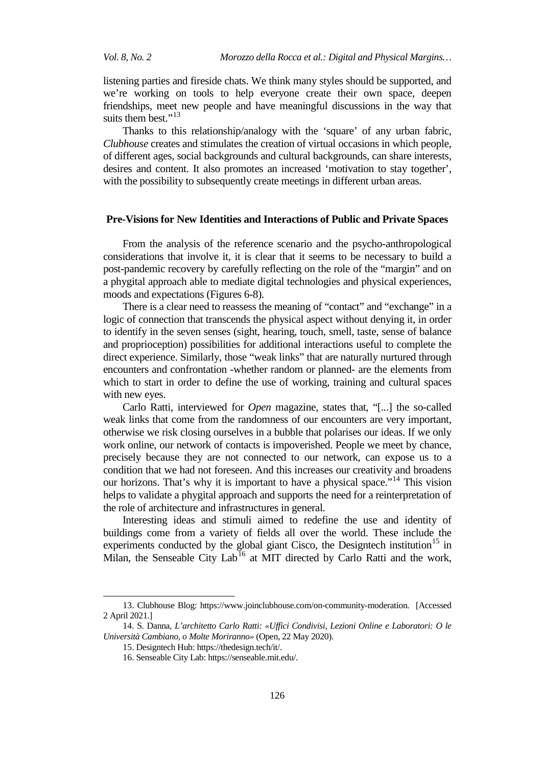listening parties and fireside chats. We think many styles should be supported, and we're working on tools to help everyone create their own space, deepen friendships, meet new people and have meaningful discussions in the way that suits them best."<sup>[13](#page-13-0)</sup>

Thanks to this relationship/analogy with the 'square' of any urban fabric, *Clubhouse* creates and stimulates the creation of virtual occasions in which people, of different ages, social backgrounds and cultural backgrounds, can share interests, desires and content. It also promotes an increased 'motivation to stay together', with the possibility to subsequently create meetings in different urban areas.

### **Pre-Visions for New Identities and Interactions of Public and Private Spaces**

From the analysis of the reference scenario and the psycho-anthropological considerations that involve it, it is clear that it seems to be necessary to build a post-pandemic recovery by carefully reflecting on the role of the "margin" and on a phygital approach able to mediate digital technologies and physical experiences, moods and expectations (Figures 6-8).

There is a clear need to reassess the meaning of "contact" and "exchange" in a logic of connection that transcends the physical aspect without denying it, in order to identify in the seven senses (sight, hearing, touch, smell, taste, sense of balance and proprioception) possibilities for additional interactions useful to complete the direct experience. Similarly, those "weak links" that are naturally nurtured through encounters and confrontation -whether random or planned- are the elements from which to start in order to define the use of working, training and cultural spaces with new eyes.

Carlo Ratti, interviewed for *Open* magazine, states that, "[...] the so-called weak links that come from the randomness of our encounters are very important, otherwise we risk closing ourselves in a bubble that polarises our ideas. If we only work online, our network of contacts is impoverished. People we meet by chance, precisely because they are not connected to our network, can expose us to a condition that we had not foreseen. And this increases our creativity and broadens our horizons. That's why it is important to have a physical space."<sup>[14](#page-13-1)</sup> This vision helps to validate a phygital approach and supports the need for a reinterpretation of the role of architecture and infrastructures in general.

Interesting ideas and stimuli aimed to redefine the use and identity of buildings come from a variety of fields all over the world. These include the experiments conducted by the global giant Cisco, the Designtech institution<sup>[15](#page-13-2)</sup> in Milan, the Senseable City Lab<sup>[16](#page-13-3)</sup> at MIT directed by Carlo Ratti and the work,

j

<span id="page-13-0"></span><sup>13.</sup> Clubhouse Blog: [https://www.joinclubhouse.com/on-community-moderation.](https://www.joinclubhouse.com/on-community-moderation) [Accessed 2 April 2021.]

<span id="page-13-3"></span><span id="page-13-2"></span><span id="page-13-1"></span><sup>14.</sup> S. Danna, *L'architetto Carlo Ratti: «Uffici Condivisi, Lezioni Online e Laboratori: O le Università Cambiano, o Molte Moriranno»* (Open, 22 May 2020).

<sup>15.</sup> Designtech Hub: https://thedesign.tech/it/.

<sup>16.</sup> Senseable City Lab: https://senseable.mit.edu/.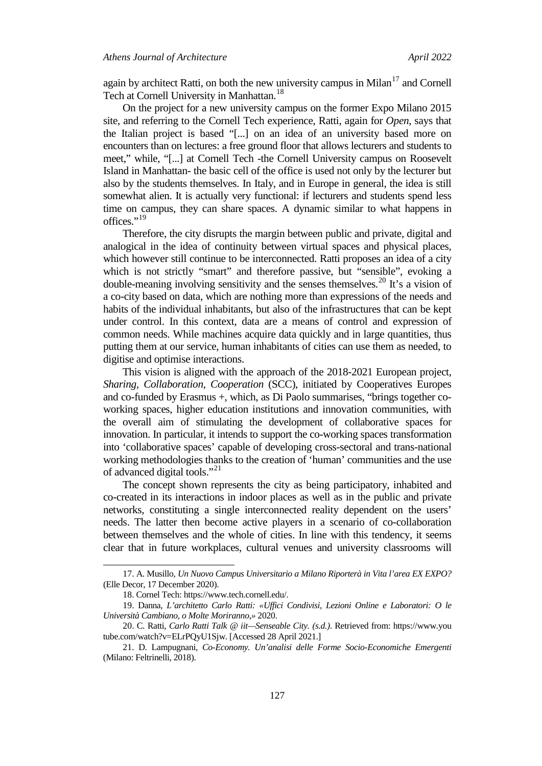again by architect Ratti, on both the new university campus in Milan $17$  and Cornell Tech at Cornell University in Manhattan.<sup>[18](#page-14-1)</sup>

On the project for a new university campus on the former Expo Milano 2015 site, and referring to the Cornell Tech experience, Ratti, again for *Open*, says that the Italian project is based "[...] on an idea of an university based more on encounters than on lectures: a free ground floor that allows lecturers and students to meet," while, "[...] at Cornell Tech -the Cornell University campus on Roosevelt Island in Manhattan- the basic cell of the office is used not only by the lecturer but also by the students themselves. In Italy, and in Europe in general, the idea is still somewhat alien. It is actually very functional: if lecturers and students spend less time on campus, they can share spaces. A dynamic similar to what happens in offices."<sup>[19](#page-14-2)</sup>

Therefore, the city disrupts the margin between public and private, digital and analogical in the idea of continuity between virtual spaces and physical places, which however still continue to be interconnected. Ratti proposes an idea of a city which is not strictly "smart" and therefore passive, but "sensible", evoking a double-meaning involving sensitivity and the senses themselves.<sup>[20](#page-14-3)</sup> It's a vision of a co-city based on data, which are nothing more than expressions of the needs and habits of the individual inhabitants, but also of the infrastructures that can be kept under control. In this context, data are a means of control and expression of common needs. While machines acquire data quickly and in large quantities, thus putting them at our service, human inhabitants of cities can use them as needed, to digitise and optimise interactions.

This vision is aligned with the approach of the 2018-2021 European project, *Sharing, Collaboration, Cooperation* (SCC), initiated by Cooperatives Europes and co-funded by Erasmus +, which, as Di Paolo summarises, "brings together coworking spaces, higher education institutions and innovation communities, with the overall aim of stimulating the development of collaborative spaces for innovation. In particular, it intends to support the co-working spaces transformation into 'collaborative spaces' capable of developing cross-sectoral and trans-national working methodologies thanks to the creation of 'human' communities and the use of advanced digital tools."[21](#page-14-4)

The concept shown represents the city as being participatory, inhabited and co-created in its interactions in indoor places as well as in the public and private networks, constituting a single interconnected reality dependent on the users' needs. The latter then become active players in a scenario of co-collaboration between themselves and the whole of cities. In line with this tendency, it seems clear that in future workplaces, cultural venues and university classrooms will

j

<span id="page-14-0"></span><sup>17.</sup> A. Musillo, *Un Nuovo Campus Universitario a Milano Riporterà in Vita l'area EX EXPO?* (Elle Decor, 17 December 2020).

<sup>18.</sup> Cornel Tech: https://www.tech.cornell.edu/.

<span id="page-14-2"></span><span id="page-14-1"></span><sup>19.</sup> Danna, *L'architetto Carlo Ratti: «Uffici Condivisi, Lezioni Online e Laboratori: O le Università Cambiano, o Molte Moriranno,»* 2020.

<span id="page-14-3"></span><sup>20.</sup> C. Ratti, *Carlo Ratti Talk @ iit—Senseable City. (s.d.)*. Retrieved from: https://www.you tube.com/watch?v=ELrPQyU1Sjw. [Accessed 28 April 2021.]

<span id="page-14-4"></span><sup>21.</sup> D. Lampugnani, *Co-Economy. Un'analisi delle Forme Socio-Economiche Emergenti* (Milano: Feltrinelli, 2018).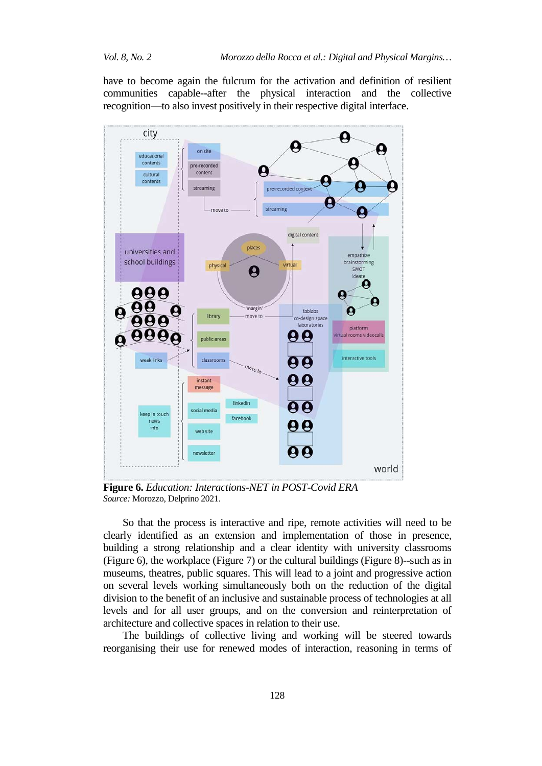have to become again the fulcrum for the activation and definition of resilient communities capable--after the physical interaction and the collective recognition—to also invest positively in their respective digital interface.



**Figure 6.** *Education: Interactions-NET in POST-Covid ERA Source:* Morozzo, Delprino 2021.

So that the process is interactive and ripe, remote activities will need to be clearly identified as an extension and implementation of those in presence, building a strong relationship and a clear identity with university classrooms (Figure 6), the workplace (Figure 7) or the cultural buildings (Figure 8)--such as in museums, theatres, public squares. This will lead to a joint and progressive action on several levels working simultaneously both on the reduction of the digital division to the benefit of an inclusive and sustainable process of technologies at all levels and for all user groups, and on the conversion and reinterpretation of architecture and collective spaces in relation to their use.

The buildings of collective living and working will be steered towards reorganising their use for renewed modes of interaction, reasoning in terms of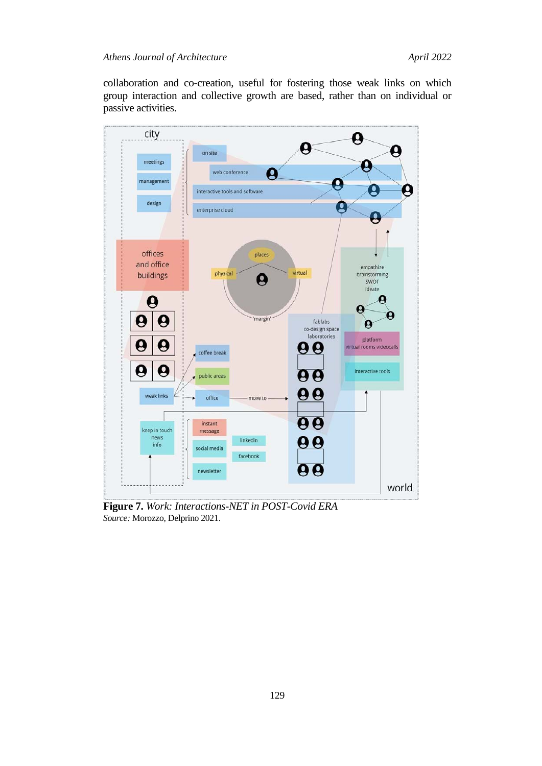collaboration and co-creation, useful for fostering those weak links on which group interaction and collective growth are based, rather than on individual or passive activities.



**Figure 7.** *Work: Interactions-NET in POST-Covid ERA Source:* Morozzo, Delprino 2021.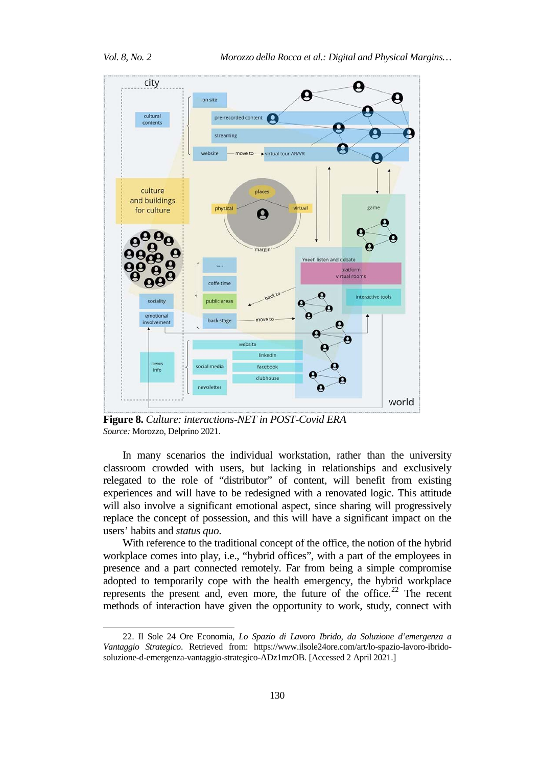

**Figure 8.** *Culture: interactions-NET in POST-Covid ERA Source:* Morozzo, Delprino 2021.

In many scenarios the individual workstation, rather than the university classroom crowded with users, but lacking in relationships and exclusively relegated to the role of "distributor" of content, will benefit from existing experiences and will have to be redesigned with a renovated logic. This attitude will also involve a significant emotional aspect, since sharing will progressively replace the concept of possession, and this will have a significant impact on the users' habits and *status quo*.

With reference to the traditional concept of the office, the notion of the hybrid workplace comes into play, i.e., "hybrid offices", with a part of the employees in presence and a part connected remotely. Far from being a simple compromise adopted to temporarily cope with the health emergency, the hybrid workplace represents the present and, even more, the future of the office.<sup>[22](#page-17-0)</sup> The recent methods of interaction have given the opportunity to work, study, connect with

<span id="page-17-0"></span><sup>22.</sup> Il Sole 24 Ore Economia, *Lo Spazio di Lavoro Ibrido, da Soluzione d'emergenza a Vantaggio Strategico*. Retrieved from: https://www.ilsole24ore.com/art/lo-spazio-lavoro-ibridosoluzione-d-emergenza-vantaggio-strategico-ADz1mzOB. [Accessed 2 April 2021.]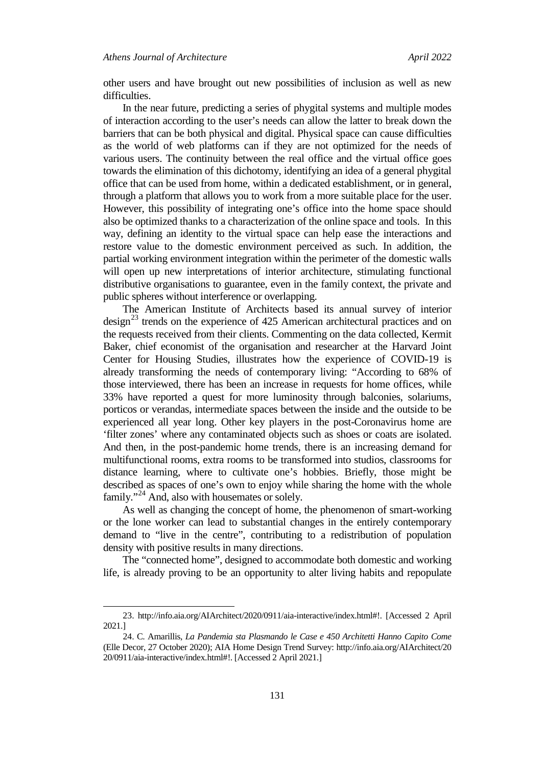other users and have brought out new possibilities of inclusion as well as new difficulties.

In the near future, predicting a series of phygital systems and multiple modes of interaction according to the user's needs can allow the latter to break down the barriers that can be both physical and digital. Physical space can cause difficulties as the world of web platforms can if they are not optimized for the needs of various users. The continuity between the real office and the virtual office goes towards the elimination of this dichotomy, identifying an idea of a general phygital office that can be used from home, within a dedicated establishment, or in general, through a platform that allows you to work from a more suitable place for the user. However, this possibility of integrating one's office into the home space should also be optimized thanks to a characterization of the online space and tools. In this way, defining an identity to the virtual space can help ease the interactions and restore value to the domestic environment perceived as such. In addition, the partial working environment integration within the perimeter of the domestic walls will open up new interpretations of interior architecture, stimulating functional distributive organisations to guarantee, even in the family context, the private and public spheres without interference or overlapping.

The American Institute of Architects based its annual survey of interior  $\text{design}^{23}$  $\text{design}^{23}$  $\text{design}^{23}$  trends on the experience of 425 American architectural practices and on the requests received from their clients. Commenting on the data collected, Kermit Baker, chief economist of the organisation and researcher at the Harvard Joint Center for Housing Studies, illustrates how the experience of COVID-19 is already transforming the needs of contemporary living: "According to 68% of those interviewed, there has been an increase in requests for home offices, while 33% have reported a quest for more luminosity through balconies, solariums, porticos or verandas, intermediate spaces between the inside and the outside to be experienced all year long. Other key players in the post-Coronavirus home are 'filter zones' where any contaminated objects such as shoes or coats are isolated. And then, in the post-pandemic home trends, there is an increasing demand for multifunctional rooms, extra rooms to be transformed into studios, classrooms for distance learning, where to cultivate one's hobbies. Briefly, those might be described as spaces of one's own to enjoy while sharing the home with the whole family."<sup>[24](#page-18-1)</sup> And, also with housemates or solely.

As well as changing the concept of home, the phenomenon of smart-working or the lone worker can lead to substantial changes in the entirely contemporary demand to "live in the centre", contributing to a redistribution of population density with positive results in many directions.

The "connected home", designed to accommodate both domestic and working life, is already proving to be an opportunity to alter living habits and repopulate

<span id="page-18-0"></span><sup>23.</sup> [http://info.aia.org/AIArchitect/2020/0911/aia-interactive/index.html#!](http://info.aia.org/AIArchitect/2020/0911/aia-interactive/index.html). [Accessed 2 April 2021.]

<span id="page-18-1"></span><sup>24.</sup> C. Amarillis, *La Pandemia sta Plasmando le Case e 450 Architetti Hanno Capito Come* (Elle Decor, 27 October 2020); AIA Home Design Trend Survey: http://info.aia.org/AIArchitect/20 20/0911/aia-interactive/index.html#!. [Accessed 2 April 2021.]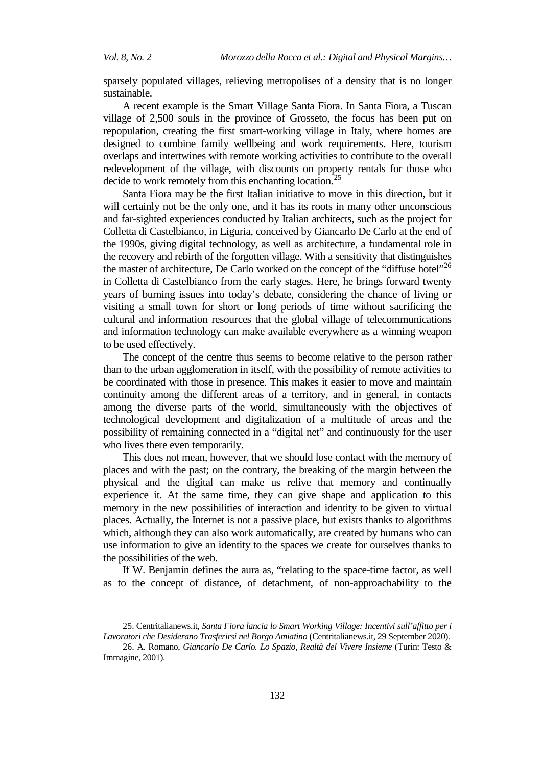sparsely populated villages, relieving metropolises of a density that is no longer sustainable.

A recent example is the Smart Village Santa Fiora. In Santa Fiora, a Tuscan village of 2,500 souls in the province of Grosseto, the focus has been put on repopulation, creating the first smart-working village in Italy, where homes are designed to combine family wellbeing and work requirements. Here, tourism overlaps and intertwines with remote working activities to contribute to the overall redevelopment of the village, with discounts on property rentals for those who decide to work remotely from this enchanting location.<sup>[25](#page-19-0)</sup>

Santa Fiora may be the first Italian initiative to move in this direction, but it will certainly not be the only one, and it has its roots in many other unconscious and far-sighted experiences conducted by Italian architects, such as the project for Colletta di Castelbianco, in Liguria, conceived by Giancarlo De Carlo at the end of the 1990s, giving digital technology, as well as architecture, a fundamental role in the recovery and rebirth of the forgotten village. With a sensitivity that distinguishes the master of architecture, De Carlo worked on the concept of the "diffuse hotel"<sup>[26](#page-19-1)</sup> in Colletta di Castelbianco from the early stages. Here, he brings forward twenty years of burning issues into today's debate, considering the chance of living or visiting a small town for short or long periods of time without sacrificing the cultural and information resources that the global village of telecommunications and information technology can make available everywhere as a winning weapon to be used effectively.

The concept of the centre thus seems to become relative to the person rather than to the urban agglomeration in itself, with the possibility of remote activities to be coordinated with those in presence. This makes it easier to move and maintain continuity among the different areas of a territory, and in general, in contacts among the diverse parts of the world, simultaneously with the objectives of technological development and digitalization of a multitude of areas and the possibility of remaining connected in a "digital net" and continuously for the user who lives there even temporarily.

This does not mean, however, that we should lose contact with the memory of places and with the past; on the contrary, the breaking of the margin between the physical and the digital can make us relive that memory and continually experience it. At the same time, they can give shape and application to this memory in the new possibilities of interaction and identity to be given to virtual places. Actually, the Internet is not a passive place, but exists thanks to algorithms which, although they can also work automatically, are created by humans who can use information to give an identity to the spaces we create for ourselves thanks to the possibilities of the web.

If W. Benjamin defines the aura as, "relating to the space-time factor, as well as to the concept of distance, of detachment, of non-approachability to the

<span id="page-19-0"></span><sup>25.</sup> Centritalianews.it, *Santa Fiora lancia lo Smart Working Village: Incentivi sull'affitto per i Lavoratori che Desiderano Trasferirsi nel Borgo Amiatino* (Centritalianews.it, 29 September 2020)*.* 

<span id="page-19-1"></span><sup>26.</sup> A. Romano, *Giancarlo De Carlo. Lo Spazio, Realtà del Vivere Insieme* (Turin: Testo & Immagine, 2001).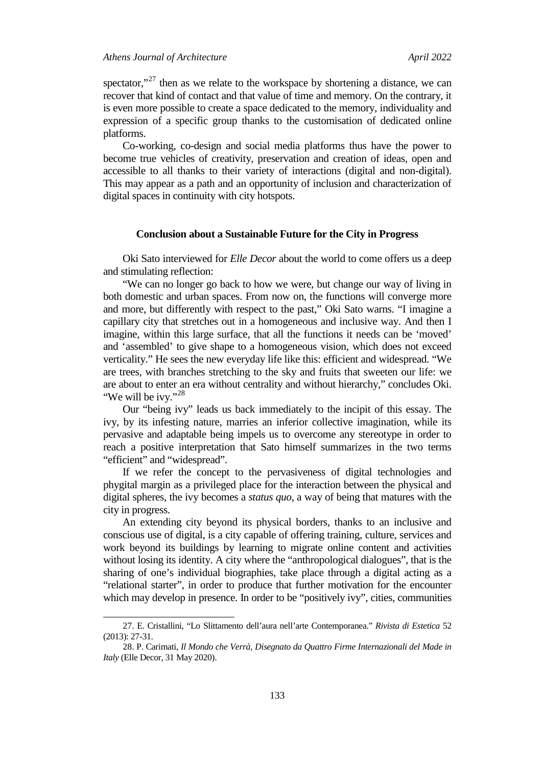spectator,"<sup>[27](#page-20-0)</sup> then as we relate to the workspace by shortening a distance, we can recover that kind of contact and that value of time and memory. On the contrary, it is even more possible to create a space dedicated to the memory, individuality and expression of a specific group thanks to the customisation of dedicated online platforms.

Co-working, co-design and social media platforms thus have the power to become true vehicles of creativity, preservation and creation of ideas, open and accessible to all thanks to their variety of interactions (digital and non-digital). This may appear as a path and an opportunity of inclusion and characterization of digital spaces in continuity with city hotspots.

# **Conclusion about a Sustainable Future for the City in Progress**

Oki Sato interviewed for *Elle Decor* about the world to come offers us a deep and stimulating reflection:

"We can no longer go back to how we were, but change our way of living in both domestic and urban spaces. From now on, the functions will converge more and more, but differently with respect to the past," Oki Sato warns. "I imagine a capillary city that stretches out in a homogeneous and inclusive way. And then I imagine, within this large surface, that all the functions it needs can be 'moved' and 'assembled' to give shape to a homogeneous vision, which does not exceed verticality." He sees the new everyday life like this: efficient and widespread. "We are trees, with branches stretching to the sky and fruits that sweeten our life: we are about to enter an era without centrality and without hierarchy," concludes Oki. "We will be ivy."<sup>[28](#page-20-1)</sup>

Our "being ivy" leads us back immediately to the incipit of this essay. The ivy, by its infesting nature, marries an inferior collective imagination, while its pervasive and adaptable being impels us to overcome any stereotype in order to reach a positive interpretation that Sato himself summarizes in the two terms "efficient" and "widespread".

If we refer the concept to the pervasiveness of digital technologies and phygital margin as a privileged place for the interaction between the physical and digital spheres, the ivy becomes a *status quo*, a way of being that matures with the city in progress.

An extending city beyond its physical borders, thanks to an inclusive and conscious use of digital, is a city capable of offering training, culture, services and work beyond its buildings by learning to migrate online content and activities without losing its identity. A city where the "anthropological dialogues", that is the sharing of one's individual biographies, take place through a digital acting as a "relational starter", in order to produce that further motivation for the encounter which may develop in presence. In order to be "positively ivy", cities, communities

<span id="page-20-0"></span><sup>27.</sup> E. Cristallini, "Lo Slittamento dell'aura nell'arte Contemporanea." *Rivista di Estetica* 52 (2013): 27-31.

<span id="page-20-1"></span><sup>28.</sup> P. Carimati, *Il Mondo che Verrà, Disegnato da Quattro Firme Internazionali del Made in Italy* (Elle Decor, 31 May 2020).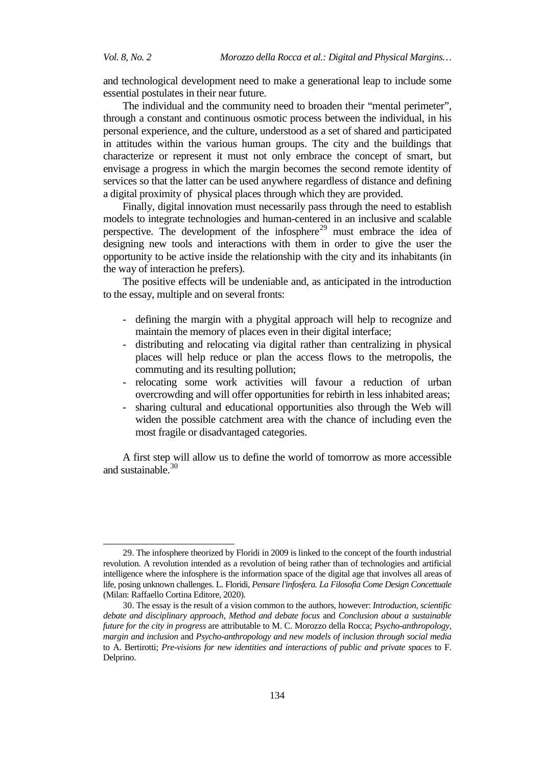and technological development need to make a generational leap to include some essential postulates in their near future.

The individual and the community need to broaden their "mental perimeter", through a constant and continuous osmotic process between the individual, in his personal experience, and the culture, understood as a set of shared and participated in attitudes within the various human groups. The city and the buildings that characterize or represent it must not only embrace the concept of smart, but envisage a progress in which the margin becomes the second remote identity of services so that the latter can be used anywhere regardless of distance and defining a digital proximity of physical places through which they are provided.

Finally, digital innovation must necessarily pass through the need to establish models to integrate technologies and human-centered in an inclusive and scalable perspective. The development of the infosphere<sup>[29](#page-21-0)</sup> must embrace the idea of designing new tools and interactions with them in order to give the user the opportunity to be active inside the relationship with the city and its inhabitants (in the way of interaction he prefers).

The positive effects will be undeniable and, as anticipated in the introduction to the essay, multiple and on several fronts:

- defining the margin with a phygital approach will help to recognize and maintain the memory of places even in their digital interface;
- distributing and relocating via digital rather than centralizing in physical places will help reduce or plan the access flows to the metropolis, the commuting and its resulting pollution;
- relocating some work activities will favour a reduction of urban overcrowding and will offer opportunities for rebirth in less inhabited areas;
- sharing cultural and educational opportunities also through the Web will widen the possible catchment area with the chance of including even the most fragile or disadvantaged categories.

A first step will allow us to define the world of tomorrow as more accessible and sustainable. [30](#page-21-1)

<span id="page-21-0"></span><sup>29.</sup> The infosphere theorized by Floridi in 2009 is linked to the concept of the fourth industrial revolution. A revolution intended as a revolution of being rather than of technologies and artificial intelligence where the infosphere is the information space of the digital age that involves all areas of life, posing unknown challenges. L. Floridi, *Pensare l'infosfera. La Filosofia Come Design Concettuale* [\(Milan:](https://it.wikipedia.org/wiki/Milano) [Raffaello Cortina Editore,](https://it.wikipedia.org/wiki/Raffaello_Cortina_Editore) 2020).

<span id="page-21-1"></span><sup>30.</sup> The essay is the result of a vision common to the authors, however: *Introduction, scientific debate and disciplinary approach*, *Method and debate focus* and *Conclusion about a sustainable future for the city in progress* are attributable to M. C. Morozzo della Rocca; *Psycho-anthropology, margin and inclusion* and *Psycho-anthropology and new models of inclusion through social media*  to A. Bertirotti; *Pre-visions for new identities and interactions of public and private spaces* to F. Delprino.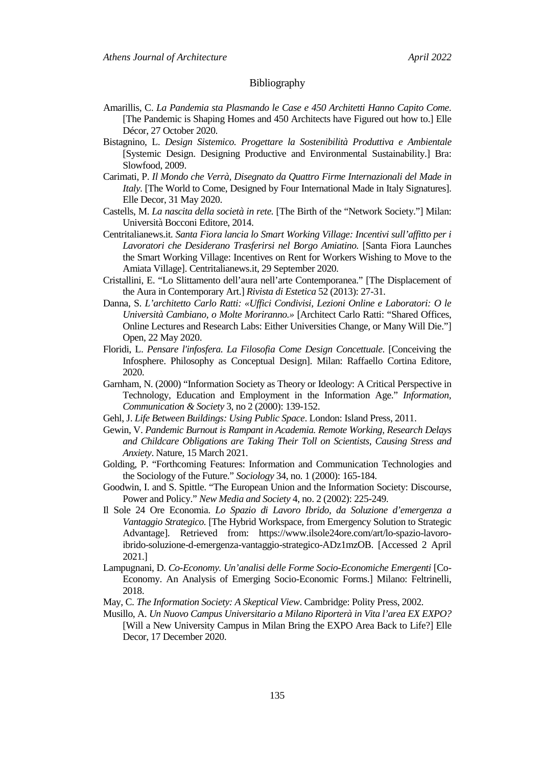#### Bibliography

- Amarillis, C. *La Pandemia sta Plasmando le Case e 450 Architetti Hanno Capito Come*. [The Pandemic is Shaping Homes and 450 Architects have Figured out how to.] Elle Décor, 27 October 2020.
- Bistagnino, L. *Design Sistemico. Progettare la Sostenibilità Produttiva e Ambientale* [Systemic Design. Designing Productive and Environmental Sustainability.] Bra: Slowfood, 2009.
- Carimati, P. *Il Mondo che Verrà, Disegnato da Quattro Firme Internazionali del Made in Italy*. [The World to Come, Designed by Four International Made in Italy Signatures]. Elle Decor, 31 May 2020.
- Castells, M. *La nascita della società in rete.* [The Birth of the "Network Society."] Milan: Università Bocconi Editore, 2014.
- Centritalianews.it*. Santa Fiora lancia lo Smart Working Village: Incentivi sull'affitto per i Lavoratori che Desiderano Trasferirsi nel Borgo Amiatino.* [Santa Fiora Launches the Smart Working Village: Incentives on Rent for Workers Wishing to Move to the Amiata Village]. Centritalianews.it, 29 September 2020*.*
- Cristallini, E. "Lo Slittamento dell'aura nell'arte Contemporanea." [The Displacement of the Aura in Contemporary Art.] *Rivista di Estetica* 52 (2013): 27-31.
- Danna, S. *L'architetto Carlo Ratti: «Uffici Condivisi, Lezioni Online e Laboratori: O le Università Cambiano, o Molte Moriranno.»* [Architect Carlo Ratti: "Shared Offices, Online Lectures and Research Labs: Either Universities Change, or Many Will Die."] Open, 22 May 2020.
- Floridi, L. *Pensare l'infosfera. La Filosofia Come Design Concettuale*. [Conceiving the Infosphere. Philosophy as Conceptual Design]. [Milan:](https://it.wikipedia.org/wiki/Milano) [Raffaello Cortina Editore,](https://it.wikipedia.org/wiki/Raffaello_Cortina_Editore)  2020.
- Garnham, N. (2000) "Information Society as Theory or Ideology: A Critical Perspective in Technology, Education and Employment in the Information Age." *Information, Communication & Society* 3, no 2 (2000): 139-152.
- Gehl, J. *Life Between Buildings: Using Public Space*. London: Island Press, 2011.
- Gewin, V. *Pandemic Burnout is Rampant in Academia. Remote Working, Research Delays and Childcare Obligations are Taking Their Toll on Scientists, Causing Stress and Anxiety*. Nature, 15 March 2021.
- Golding, P. "Forthcoming Features: Information and Communication Technologies and the Sociology of the Future." *Sociology* 34, no. 1 (2000): 165-184.
- Goodwin, I. and S. Spittle. "The European Union and the Information Society: Discourse, Power and Policy." *New Media and Society* 4, no. 2 (2002): 225-249.
- Il Sole 24 Ore Economia. *Lo Spazio di Lavoro Ibrido, da Soluzione d'emergenza a Vantaggio Strategico.* [The Hybrid Workspace, from Emergency Solution to Strategic Advantage]. Retrieved from: [https://www.ilsole24ore.com/art/lo-spazio-lavoro](https://www.ilsole24ore.com/art/lo-spazio-lavoro-ibrido-soluzione-d-emergenza-vantaggio-strategico-ADz1mzOB)[ibrido-soluzione-d-emergenza-vantaggio-strategico-ADz1mzOB.](https://www.ilsole24ore.com/art/lo-spazio-lavoro-ibrido-soluzione-d-emergenza-vantaggio-strategico-ADz1mzOB) [Accessed 2 April 2021.]
- Lampugnani, D. *Co-Economy. Un'analisi delle Forme Socio-Economiche Emergenti* [Co-Economy. An Analysis of Emerging Socio-Economic Forms.] Milano: Feltrinelli, 2018.
- May, C. *The Information Society: A Skeptical View*. Cambridge: Polity Press, 2002.
- Musillo, A. *Un Nuovo Campus Universitario a Milano Riporterà in Vita l'area EX EXPO?* [Will a New University Campus in Milan Bring the EXPO Area Back to Life?] Elle Decor, 17 December 2020.